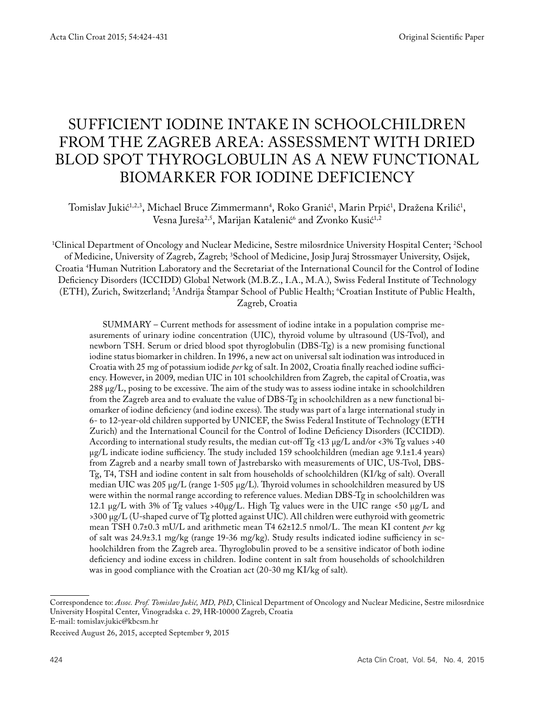# SUFFICIENT IODINE INTAKE IN SCHOOLCHILDREN FROM THE ZAGREB AREA: ASSESSMENT WITH DRIED BLOD SPOT THYROGLOBULIN AS A NEW FUNCTIONAL BIOMARKER FOR IODINE DEFICIENCY

Tomislav Jukić<sup>1,2,3</sup>, Michael Bruce Zimmermann<sup>4</sup>, Roko Granić<sup>1</sup>, Marin Prpić<sup>1</sup>, Dražena Krilić<sup>1</sup>, Vesna Jureša<sup>2,5</sup>, Marijan Katalenić<sup>6</sup> and Zvonko Kusić<sup>1,2</sup>

1 Clinical Department of Oncology and Nuclear Medicine, Sestre milosrdnice University Hospital Center; 2 School of Medicine, University of Zagreb, Zagreb; 3 School of Medicine, Josip Juraj Strossmayer University, Osijek, Croatia 4 Human Nutrition Laboratory and the Secretariat of the International Council for the Control of Iodine Deficiency Disorders (ICCIDD) Global Network (M.B.Z., I.A., M.A.), Swiss Federal Institute of Technology (ETH), Zurich, Switzerland; 5 Andrija Štampar School of Public Health; 6 Croatian Institute of Public Health, Zagreb, Croatia

SUMMARY – Current methods for assessment of iodine intake in a population comprise measurements of urinary iodine concentration (UIC), thyroid volume by ultrasound (US-Tvol), and newborn TSH. Serum or dried blood spot thyroglobulin (DBS-Tg) is a new promising functional iodine status biomarker in children. In 1996, a new act on universal salt iodination was introduced in Croatia with 25 mg of potassium iodide *per* kg of salt. In 2002, Croatia finally reached iodine sufficiency. However, in 2009, median UIC in 101 schoolchildren from Zagreb, the capital of Croatia, was 288 μg/L, posing to be excessive. The aim of the study was to assess iodine intake in schoolchildren from the Zagreb area and to evaluate the value of DBS-Tg in schoolchildren as a new functional biomarker of iodine deficiency (and iodine excess). The study was part of a large international study in 6- to 12-year-old children supported by UNICEF, the Swiss Federal Institute of Technology (ETH Zurich) and the International Council for the Control of Iodine Deficiency Disorders (ICCIDD). According to international study results, the median cut-off Tg <13  $\mu$ g/L and/or <3% Tg values >40 µg/L indicate iodine sufficiency. The study included 159 schoolchildren (median age 9.1±1.4 years) from Zagreb and a nearby small town of Jastrebarsko with measurements of UIC, US-Tvol, DBS-Tg, T4, TSH and iodine content in salt from households of schoolchildren (KI/kg of salt). Overall median UIC was 205 µg/L (range 1-505 µg/L). Thyroid volumes in schoolchildren measured by US were within the normal range according to reference values. Median DBS-Tg in schoolchildren was 12.1 μg/L with 3% of Tg values >40μg/L. High Tg values were in the UIC range <50 μg/L and >300 µg/L (U-shaped curve of Tg plotted against UIC). All children were euthyroid with geometric mean TSH 0.7±0.3 mU/L and arithmetic mean T4 62±12.5 nmol/L. The mean KI content *per* kg of salt was 24.9±3.1 mg/kg (range 19-36 mg/kg). Study results indicated iodine sufficiency in schoolchildren from the Zagreb area. Thyroglobulin proved to be a sensitive indicator of both iodine deficiency and iodine excess in children. Iodine content in salt from households of schoolchildren was in good compliance with the Croatian act (20-30 mg KI/kg of salt).

Correspondence to: *Assoc. Prof. Tomislav Jukić, MD, PhD*, Clinical Department of Oncology and Nuclear Medicine, Sestre milosrdnice University Hospital Center, Vinogradska c. 29, HR-10000 Zagreb, Croatia E-mail: tomislav.jukic@kbcsm.hr

Received August 26, 2015, accepted September 9, 2015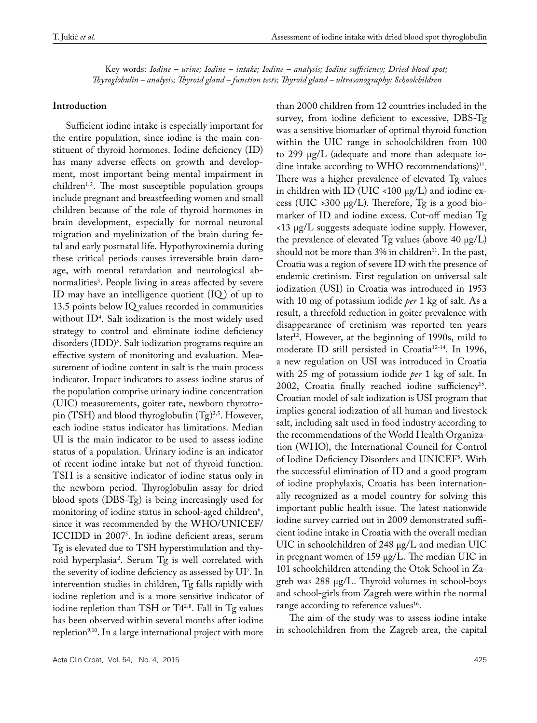Key words: *Iodine – urine; Iodine – intake; Iodine – analysis; Iodine sufficiency; Dried blood spot; Thyroglobulin – analysis; Thyroid gland – function tests; Thyroid gland – ultrasonography; Schoolchildren*

#### **Introduction**

Sufficient iodine intake is especially important for the entire population, since iodine is the main constituent of thyroid hormones. Iodine deficiency (ID) has many adverse effects on growth and development, most important being mental impairment in children<sup>1,2</sup>. The most susceptible population groups include pregnant and breastfeeding women and small children because of the role of thyroid hormones in brain development, especially for normal neuronal migration and myelinization of the brain during fetal and early postnatal life. Hypothyroxinemia during these critical periods causes irreversible brain damage, with mental retardation and neurological abnormalities3 . People living in areas affected by severe ID may have an intelligence quotient  $(IQ)$  of up to 13.5 points below IQ values recorded in communities without ID4 . Salt iodization is the most widely used strategy to control and eliminate iodine deficiency disorders (IDD)<sup>s</sup>. Salt iodization programs require an effective system of monitoring and evaluation. Measurement of iodine content in salt is the main process indicator. Impact indicators to assess iodine status of the population comprise urinary iodine concentration (UIC) measurements, goiter rate, newborn thyrotropin (TSH) and blood thyroglobulin  $(Tg)^{2,5}$ . However, each iodine status indicator has limitations. Median UI is the main indicator to be used to assess iodine status of a population. Urinary iodine is an indicator of recent iodine intake but not of thyroid function. TSH is a sensitive indicator of iodine status only in the newborn period. Thyroglobulin assay for dried blood spots (DBS-Tg) is being increasingly used for monitoring of iodine status in school-aged children<sup>6</sup>, since it was recommended by the WHO/UNICEF/ ICCIDD in 20075 . In iodine deficient areas, serum Tg is elevated due to TSH hyperstimulation and thyroid hyperplasia2 . Serum Tg is well correlated with the severity of iodine deficiency as assessed by UI7 . In intervention studies in children, Tg falls rapidly with iodine repletion and is a more sensitive indicator of iodine repletion than TSH or T4<sup>2,8</sup>. Fall in Tg values has been observed within several months after iodine repletion<sup>9,10</sup>. In a large international project with more

than 2000 children from 12 countries included in the survey, from iodine deficient to excessive, DBS-Tg was a sensitive biomarker of optimal thyroid function within the UIC range in schoolchildren from 100 to 299 µg/L (adequate and more than adequate iodine intake according to WHO recommendations)<sup>11</sup>. There was a higher prevalence of elevated Tg values in children with ID (UIC <100  $\mu$ g/L) and iodine excess (UIC > 300  $\mu$ g/L). Therefore, Tg is a good biomarker of ID and iodine excess. Cut-off median Tg <13 µg/L suggests adequate iodine supply. However, the prevalence of elevated  $Tg$  values (above 40  $\mu$ g/L) should not be more than  $3\%$  in children<sup>11</sup>. In the past, Croatia was a region of severe ID with the presence of endemic cretinism. First regulation on universal salt iodization (USI) in Croatia was introduced in 1953 with 10 mg of potassium iodide *per* 1 kg of salt. As a result, a threefold reduction in goiter prevalence with disappearance of cretinism was reported ten years later<sup>12</sup>. However, at the beginning of 1990s, mild to moderate ID still persisted in Croatia<sup>12-14</sup>. In 1996, a new regulation on USI was introduced in Croatia with 25 mg of potassium iodide *per* 1 kg of salt. In 2002, Croatia finally reached iodine sufficiency<sup>15</sup>. Croatian model of salt iodization is USI program that implies general iodization of all human and livestock salt, including salt used in food industry according to the recommendations of the World Health Organization (WHO), the International Council for Control of Iodine Deficiency Disorders and UNICEF5 . With the successful elimination of ID and a good program of iodine prophylaxis, Croatia has been internationally recognized as a model country for solving this important public health issue. The latest nationwide iodine survey carried out in 2009 demonstrated sufficient iodine intake in Croatia with the overall median UIC in schoolchildren of 248 µg/L and median UIC in pregnant women of 159 µg/L. The median UIC in 101 schoolchildren attending the Otok School in Zagreb was 288 µg/L. Thyroid volumes in school-boys and school-girls from Zagreb were within the normal range according to reference values<sup>16</sup>.

The aim of the study was to assess iodine intake in schoolchildren from the Zagreb area, the capital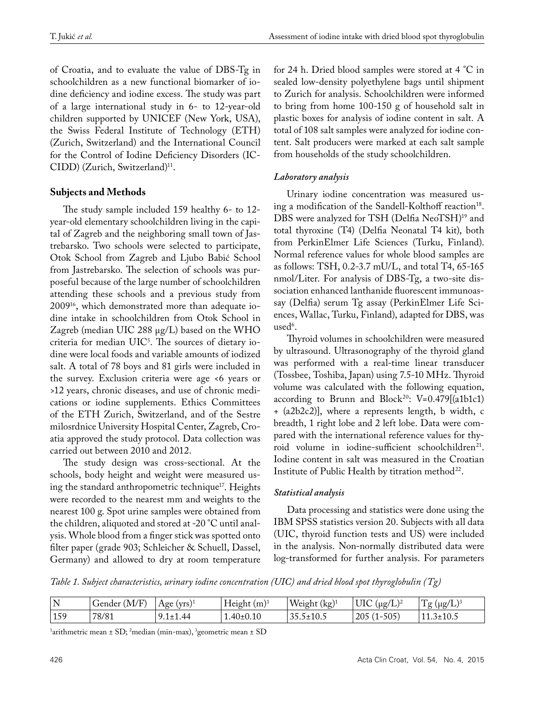of Croatia, and to evaluate the value of DBS-Tg in schoolchildren as a new functional biomarker of iodine deficiency and iodine excess. The study was part of a large international study in 6- to 12-year-old children supported by UNICEF (New York, USA), the Swiss Federal Institute of Technology (ETH) (Zurich, Switzerland) and the International Council for the Control of Iodine Deficiency Disorders (IC-CIDD) (Zurich, Switzerland)<sup>11</sup>.

# **Subjects and Methods**

The study sample included 159 healthy 6- to 12 year-old elementary schoolchildren living in the capital of Zagreb and the neighboring small town of Jastrebarsko. Two schools were selected to participate, Otok School from Zagreb and Ljubo Babić School from Jastrebarsko. The selection of schools was purposeful because of the large number of schoolchildren attending these schools and a previous study from 200916, which demonstrated more than adequate iodine intake in schoolchildren from Otok School in Zagreb (median UIC 288 µg/L) based on the WHO criteria for median UIC5 . The sources of dietary iodine were local foods and variable amounts of iodized salt. A total of 78 boys and 81 girls were included in the survey. Exclusion criteria were age <6 years or >12 years, chronic diseases, and use of chronic medications or iodine supplements. Ethics Committees of the ETH Zurich, Switzerland, and of the Sestre milosrdnice University Hospital Center, Zagreb, Croatia approved the study protocol. Data collection was carried out between 2010 and 2012.

The study design was cross-sectional. At the schools, body height and weight were measured using the standard anthropometric technique<sup>17</sup>. Heights were recorded to the nearest mm and weights to the nearest 100 g. Spot urine samples were obtained from the children, aliquoted and stored at -20 °C until analysis. Whole blood from a finger stick was spotted onto filter paper (grade 903; Schleicher & Schuell, Dassel, Germany) and allowed to dry at room temperature

for 24 h. Dried blood samples were stored at 4 °C in sealed low-density polyethylene bags until shipment to Zurich for analysis. Schoolchildren were informed to bring from home 100-150 g of household salt in plastic boxes for analysis of iodine content in salt. A total of 108 salt samples were analyzed for iodine content. Salt producers were marked at each salt sample from households of the study schoolchildren.

# *Laboratory analysis*

Urinary iodine concentration was measured using a modification of the Sandell-Kolthoff reaction<sup>18</sup>. DBS were analyzed for TSH (Delfia NeoTSH)<sup>19</sup> and total thyroxine (T4) (Delfia Neonatal T4 kit), both from PerkinElmer Life Sciences (Turku, Finland). Normal reference values for whole blood samples are as follows: TSH, 0.2-3.7 mU/L, and total T4, 65-165 nmol/Liter. For analysis of DBS-Tg, a two-site dissociation enhanced lanthanide fluorescent immunoassay (Delfia) serum Tg assay (PerkinElmer Life Sciences, Wallac, Turku, Finland), adapted for DBS, was  $used<sup>6</sup>$ .

Thyroid volumes in schoolchildren were measured by ultrasound. Ultrasonography of the thyroid gland was performed with a real-time linear transducer (Tossbee, Toshiba, Japan) using 7.5-10 MHz. Thyroid volume was calculated with the following equation, according to Brunn and Block<sup>20</sup>:  $V=0.479[(a1b1c1)$ + (a2b2c2)], where a represents length, b width, c breadth, 1 right lobe and 2 left lobe. Data were compared with the international reference values for thyroid volume in iodine-sufficient schoolchildren<sup>21</sup>. Iodine content in salt was measured in the Croatian Institute of Public Health by titration method<sup>22</sup>.

## *Statistical analysis*

Data processing and statistics were done using the IBM SPSS statistics version 20. Subjects with all data (UIC, thyroid function tests and US) were included in the analysis. Non-normally distributed data were log-transformed for further analysis. For parameters

*Table 1. Subject characteristics, urinary iodine concentration (UIC) and dried blood spot thyroglobulin (Tg)*

| N<br>-17 | $\mathbf{r}$ $\mathbf{r}$<br>M/F<br>Gender | $(vrs)^{1}$<br>Age | Height (m) <sup>1</sup> | Weight<br>(kg) | UK<br>'ug/L,         | ᠇᠇<br>10 <sup>c</sup><br>$\mu$ g/L |
|----------|--------------------------------------------|--------------------|-------------------------|----------------|----------------------|------------------------------------|
| 159      | 78/81                                      | 44                 | .40±0.10                | 33.3±10.3      | .505'<br>205<br>JUJ. |                                    |

 $\frac{1}{2}$ arithmetric mean ± SD;  $\frac{2}{2}$ median (min-max),  $\frac{3}{2}$ geometric mean ± SD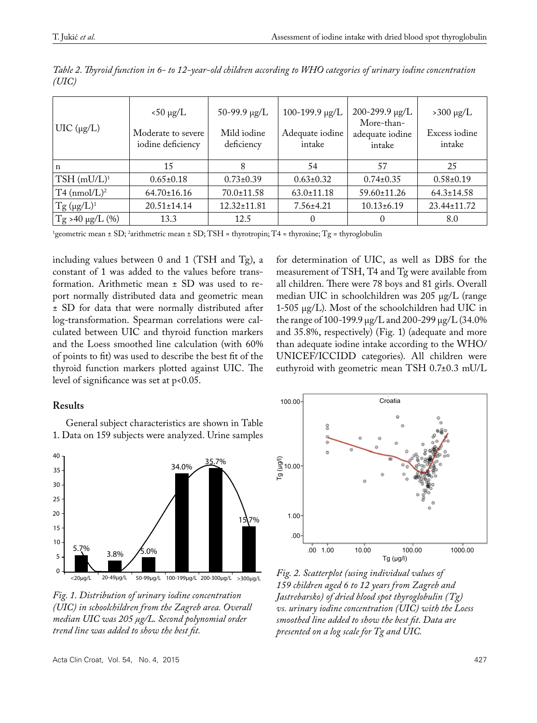| $UIC$ ( $\mu$ g/L)         | $< 50 \mu g/L$<br>Moderate to severe<br>iodine deficiency | $50-99.9 \mu g/L$<br>Mild iodine<br>deficiency | 100-199.9 μg/L<br>Adequate iodine<br>intake | $200 - 299.9 \mu g/L$<br>More-than-<br>adequate iodine<br>intake | $>300 \mu g/L$<br>Excess iodine<br>intake |
|----------------------------|-----------------------------------------------------------|------------------------------------------------|---------------------------------------------|------------------------------------------------------------------|-------------------------------------------|
| $\mathbf n$                | 15                                                        | 8                                              | 54                                          | 57                                                               | 25                                        |
| $TSH$ (mU/L) <sup>1</sup>  | $0.65 \pm 0.18$                                           | $0.73 \pm 0.39$                                | $0.63 \pm 0.32$                             | $0.74 \pm 0.35$                                                  | $0.58 \pm 0.19$                           |
| $T4$ (nmol/L) <sup>2</sup> | $64.70 \pm 16.16$                                         | $70.0 \pm 11.58$                               | $63.0 \pm 11.18$                            | 59.60±11.26                                                      | $64.3 \pm 14.58$                          |
| $Tg (\mu g/L)^1$           | $20.51 \pm 14.14$                                         | $12.32 \pm 11.81$                              | $7.56 \pm 4.21$                             | $10.13 \pm 6.19$                                                 | 23.44±11.72                               |
| $T_g$ >40 µg/L (%)         | 13.3                                                      | 12.5                                           | $\Omega$                                    |                                                                  | 8.0                                       |

*Table 2. Thyroid function in 6- to 12-year-old children according to WHO categories of urinary iodine concentration (UIC)*

1 geometric mean ± SD; 2 arithmetric mean ± SD; TSH = thyrotropin; T4 = thyroxine; Tg = thyroglobulin

including values between 0 and 1 (TSH and Tg), a constant of 1 was added to the values before transformation. Arithmetic mean ± SD was used to report normally distributed data and geometric mean ± SD for data that were normally distributed after log-transformation. Spearman correlations were calculated between UIC and thyroid function markers and the Loess smoothed line calculation (with 60% of points to fit) was used to describe the best fit of the thyroid function markers plotted against UIC. The level of significance was set at p<0.05.

## **Results**

General subject characteristics are shown in Table 1. Data on 159 subjects were analyzed. Urine samples



*Fig. 1. Distribution of urinary iodine concentration (UIC) in schoolchildren from the Zagreb area. Overall median UIC was 205 µg/L. Second polynomial order trend line was added to show the best fit.*



for determination of UIC, as well as DBS for the measurement of TSH, T4 and Tg were available from all children. There were 78 boys and 81 girls. Overall median UIC in schoolchildren was 205 µg/L (range 1-505 µg/L). Most of the schoolchildren had UIC in the range of 100-199.9 µg/L and 200-299 µg/L (34.0% and 35.8%, respectively) (Fig. 1) (adequate and more than adequate iodine intake according to the WHO/ UNICEF/ICCIDD categories). All children were euthyroid with geometric mean TSH 0.7±0.3 mU/L

*Fig. 2. Scatterplot (using individual values of 159 children aged 6 to 12 years from Zagreb and Jastrebarsko) of dried blood spot thyroglobulin (Tg) vs. urinary iodine concentration (UIC) with the Loess smoothed line added to show the best fit. Data are presented on a log scale for Tg and UIC.*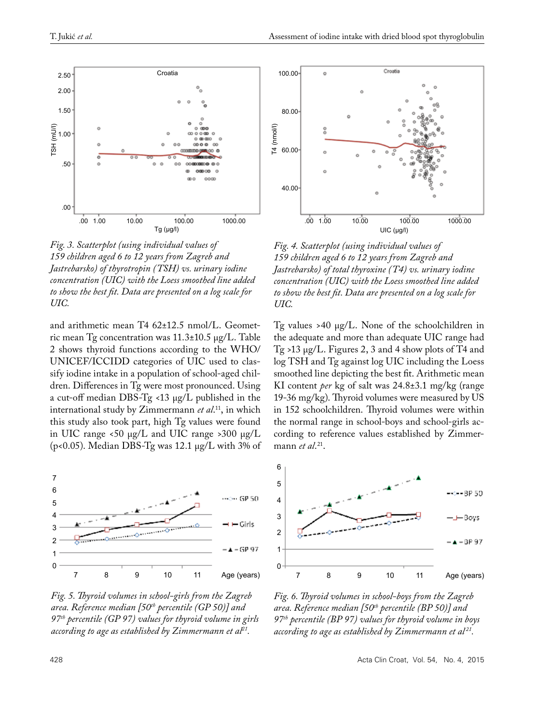

*Fig. 3. Scatterplot (using individual values of 159 children aged 6 to 12 years from Zagreb and Jastrebarsko) of thyrotropin (TSH) vs. urinary iodine concentration (UIC) with the Loess smoothed line added to show the best fit. Data are presented on a log scale for UIC.*

and arithmetic mean T4 62±12.5 nmol/L. Geometric mean Tg concentration was 11.3±10.5 µg/L. Table 2 shows thyroid functions according to the WHO/ UNICEF/ICCIDD categories of UIC used to classify iodine intake in a population of school-aged children. Differences in Tg were most pronounced. Using a cut-off median DBS-Tg <13 µg/L published in the international study by Zimmermann *et al*. 11, in which this study also took part, high Tg values were found in UIC range <50  $\mu$ g/L and UIC range >300  $\mu$ g/L ( $p$ <0.05). Median DBS-Tg was 12.1  $\mu$ g/L with 3% of



*Fig. 5. Thyroid volumes in school-girls from the Zagreb area. Reference median [50th percentile (GP 50)] and 97th percentile (GP 97) values for thyroid volume in girls according to age as established by Zimmermann et al21.*



*Fig. 4. Scatterplot (using individual values of 159 children aged 6 to 12 years from Zagreb and Jastrebarsko) of total thyroxine (T4) vs. urinary iodine concentration (UIC) with the Loess smoothed line added to show the best fit. Data are presented on a log scale for UIC.*

Tg values >40 µg/L. None of the schoolchildren in the adequate and more than adequate UIC range had Tg >13 µg/L. Figures 2, 3 and 4 show plots of T4 and log TSH and Tg against log UIC including the Loess smoothed line depicting the best fit. Arithmetic mean KI content *per* kg of salt was 24.8±3.1 mg/kg (range 19-36 mg/kg). Thyroid volumes were measured by US in 152 schoolchildren. Thyroid volumes were within the normal range in school-boys and school-girls according to reference values established by Zimmermann *et al*.<sup>21</sup>.



*Fig. 6. Thyroid volumes in school-boys from the Zagreb area. Reference median [50th percentile (BP 50)] and 97th percentile (BP 97) values for thyroid volume in boys according to age as established by Zimmermann et al 21.*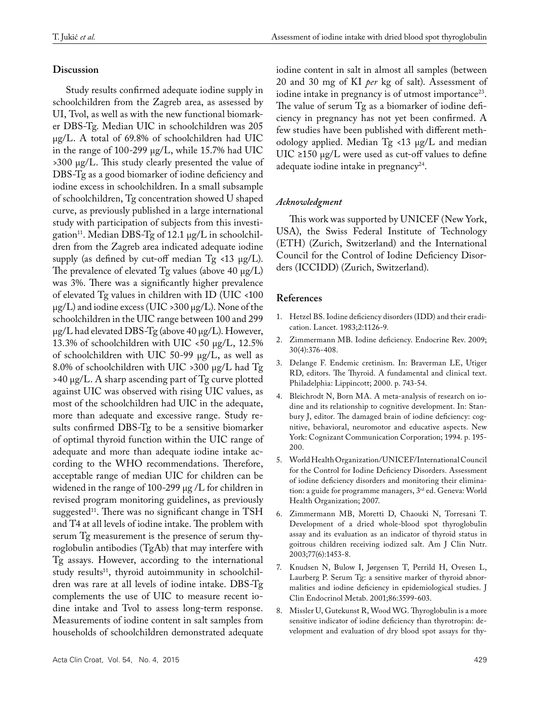#### **Discussion**

Study results confirmed adequate iodine supply in schoolchildren from the Zagreb area, as assessed by UI, Tvol, as well as with the new functional biomarker DBS-Tg. Median UIC in schoolchildren was 205 µg/L. A total of 69.8% of schoolchildren had UIC in the range of 100-299 µg/L, while 15.7% had UIC >300 µg/L. This study clearly presented the value of DBS-Tg as a good biomarker of iodine deficiency and iodine excess in schoolchildren. In a small subsample of schoolchildren, Tg concentration showed U shaped curve, as previously published in a large international study with participation of subjects from this investigation<sup>11</sup>. Median DBS-Tg of 12.1  $\mu$ g/L in schoolchildren from the Zagreb area indicated adequate iodine supply (as defined by cut-off median  $Tg \lt 13 \mu g/L$ ). The prevalence of elevated  $Tg$  values (above 40  $\mu$ g/L) was 3%. There was a significantly higher prevalence of elevated Tg values in children with ID (UIC <100  $\mu$ g/L) and iodine excess (UIC >300  $\mu$ g/L). None of the schoolchildren in the UIC range between 100 and 299  $\mu$ g/L had elevated DBS-Tg (above 40  $\mu$ g/L). However, 13.3% of schoolchildren with UIC <50  $\mu$ g/L, 12.5% of schoolchildren with UIC 50-99 µg/L, as well as 8.0% of schoolchildren with UIC >300 µg/L had Tg >40 µg/L. A sharp ascending part of Tg curve plotted against UIC was observed with rising UIC values, as most of the schoolchildren had UIC in the adequate, more than adequate and excessive range. Study results confirmed DBS-Tg to be a sensitive biomarker of optimal thyroid function within the UIC range of adequate and more than adequate iodine intake according to the WHO recommendations. Therefore, acceptable range of median UIC for children can be widened in the range of 100-299 µg /L for children in revised program monitoring guidelines, as previously suggested<sup>11</sup>. There was no significant change in TSH and T4 at all levels of iodine intake. The problem with serum Tg measurement is the presence of serum thyroglobulin antibodies (TgAb) that may interfere with Tg assays. However, according to the international study results<sup>11</sup>, thyroid autoimmunity in schoolchildren was rare at all levels of iodine intake. DBS-Tg complements the use of UIC to measure recent iodine intake and Tvol to assess long-term response. Measurements of iodine content in salt samples from households of schoolchildren demonstrated adequate

iodine content in salt in almost all samples (between 20 and 30 mg of KI *per* kg of salt). Assessment of iodine intake in pregnancy is of utmost importance<sup>23</sup>. The value of serum Tg as a biomarker of iodine deficiency in pregnancy has not yet been confirmed. A few studies have been published with different methodology applied. Median Tg <13 µg/L and median UIC ≥150 µg/L were used as cut-off values to define adequate iodine intake in pregnancy<sup>24</sup>.

#### *Acknowledgment*

This work was supported by UNICEF (New York, USA), the Swiss Federal Institute of Technology (ETH) (Zurich, Switzerland) and the International Council for the Control of Iodine Deficiency Disorders (ICCIDD) (Zurich, Switzerland).

#### **References**

- 1. Hetzel BS. Iodine deficiency disorders (IDD) and their eradication. Lancet. 1983;2:1126-9.
- 2. Zimmermann MB. Iodine deficiency. Endocrine Rev. 2009; 30(4):376-408.
- 3. Delange F. Endemic cretinism. In: Braverman LE, Utiger RD, editors. The Thyroid. A fundamental and clinical text. Philadelphia: Lippincott; 2000. p. 743-54.
- 4. Bleichrodt N, Born MA. A meta-analysis of research on iodine and its relationship to cognitive development. In: Stanbury J, editor. The damaged brain of iodine deficiency: cognitive, behavioral, neuromotor and educative aspects. New York: Cognizant Communication Corporation; 1994. p. 195- 200.
- 5. World Health Organization/UNICEF/International Council for the Control for Iodine Deficiency Disorders. Assessment of iodine deficiency disorders and monitoring their elimination: a guide for programme managers, 3<sup>rd</sup> ed. Geneva: World Health Organization; 2007.
- 6. Zimmermann MB, Moretti D, Chaouki N, Torresani T. Development of a dried whole-blood spot thyroglobulin assay and its evaluation as an indicator of thyroid status in goitrous children receiving iodized salt. Am J Clin Nutr. 2003;77(6):1453-8.
- 7. Knudsen N, Bulow I, Jørgensen T, Perrild H, Ovesen L, Laurberg P. Serum Tg: a sensitive marker of thyroid abnormalities and iodine deficiency in epidemiological studies. J Clin Endocrinol Metab. 2001;86:3599-603.
- 8. Missler U, Gutekunst R, Wood WG. Thyroglobulin is a more sensitive indicator of iodine deficiency than thyrotropin: development and evaluation of dry blood spot assays for thy-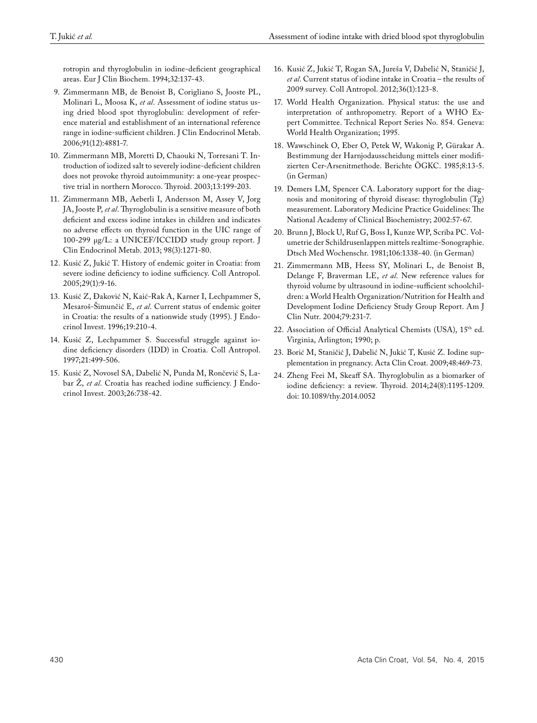rotropin and thyroglobulin in iodine-deficient geographical areas. Eur J Clin Biochem. 1994;32:137-43.

- 9. Zimmermann MB, de Benoist B, Corigliano S, Jooste PL, Molinari L, Moosa K, *et al*. Assessment of iodine status using dried blood spot thyroglobulin: development of reference material and establishment of an international reference range in iodine-sufficient children. J Clin Endocrinol Metab. 2006;91(12):4881-7.
- 10. Zimmermann MB, Moretti D, Chaouki N, Torresani T. Introduction of iodized salt to severely iodine-deficient children does not provoke thyroid autoimmunity: a one-year prospective trial in northern Morocco. Thyroid. 2003;13:199-203.
- 11. Zimmermann MB, Aeberli I, Andersson M, Assey V, Jorg JA, Jooste P, *et al*. Thyroglobulin is a sensitive measure of both deficient and excess iodine intakes in children and indicates no adverse effects on thyroid function in the UIC range of 100-299 μg/L: a UNICEF/ICCIDD study group report. J Clin Endocrinol Metab. 2013; 98(3):1271-80.
- 12. Kusić Z, Jukić T. History of endemic goiter in Croatia: from severe iodine deficiency to iodine sufficiency. Coll Antropol. 2005;29(1):9-16.
- 13. Kusić Z, Đaković N, Kaić-Rak A, Karner I, Lechpammer S, Mesaroš-Šimunčić E, *et al*. Current status of endemic goiter in Croatia: the results of a nationwide study (1995). J Endocrinol Invest. 1996;19:210-4.
- 14. Kusić Z, Lechpammer S. Successful struggle against iodine deficiency disorders (IDD) in Croatia. Coll Antropol. 1997;21:499-506.
- 15. Kusić Z, Novosel SA, Dabelić N, Punda M, Rončević S, Labar Ž, *et al*. Croatia has reached iodine sufficiency. J Endocrinol Invest. 2003;26:738-42.
- 16. Kusić Z, Jukić T, Rogan SA, Jureša V, Dabelić N, Staničić J, *et al*. Current status of iodine intake in Croatia – the results of 2009 survey. Coll Antropol. 2012;36(1):123-8.
- 17. World Health Organization. Physical status: the use and interpretation of anthropometry. Report of a WHO Expert Committee. Technical Report Series No. 854. Geneva: World Health Organization; 1995.
- 18. Wawschinek O, Eber O, Petek W, Wakonig P, Gürakar A. Bestimmung der Harnjodausscheidung mittels einer modifizierten Cer-Arsenitmethode. Berichte ÖGKC. 1985;8:13-5. (in German)
- 19. Demers LM, Spencer CA. Laboratory support for the diagnosis and monitoring of thyroid disease: thyroglobulin (Tg) measurement. Laboratory Medicine Practice Guidelines: The National Academy of Clinical Biochemistry; 2002:57-67.
- 20. Brunn J, Block U, Ruf G, Boss I, Kunze WP, Scriba PC. Volumetrie der Schildrusenlappen mittels realtime-Sonographie. Dtsch Med Wochenschr. 1981;106:1338-40. (in German)
- 21. Zimmermann MB, Heess SY, Molinari L, de Benoist B, Delange F, Braverman LE, *et al*. New reference values for thyroid volume by ultrasound in iodine-sufficient schoolchildren: a World Health Organization/Nutrition for Health and Development Iodine Deficiency Study Group Report. Am J Clin Nutr. 2004;79:231-7.
- 22. Association of Official Analytical Chemists (USA), 15th ed. Virginia, Arlington; 1990; p.
- 23. Borić M, Staničić J, Dabelić N, Jukić T, Kusić Z. Iodine supplementation in pregnancy. Acta Clin Croat. 2009;48:469-73.
- 24. Zheng Feei M, Skeaff SA. Thyroglobulin as a biomarker of iodine deficiency: a review. Thyroid. 2014;24(8):1195-1209. doi: 10.1089/thy.2014.0052